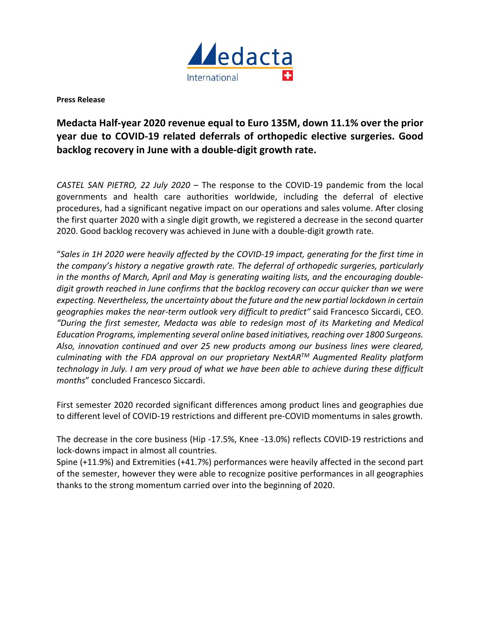

**Press Release**

# **Medacta Half-year 2020 revenue equal to Euro 135M, down 11.1% over the prior year due to COVID-19 related deferrals of orthopedic elective surgeries. Good backlog recovery in June with a double-digit growth rate.**

*CASTEL SAN PIETRO, 22 July 2020* – The response to the COVID-19 pandemic from the local governments and health care authorities worldwide, including the deferral of elective procedures, had a significant negative impact on our operations and sales volume. After closing the first quarter 2020 with a single digit growth, we registered a decrease in the second quarter 2020. Good backlog recovery was achieved in June with a double-digit growth rate.

"*Sales in 1H 2020 were heavily affected by the COVID-19 impact, generating for the first time in the company's history a negative growth rate. The deferral of orthopedic surgeries, particularly in the months of March, April and May is generating waiting lists, and the encouraging doubledigit growth reached in June confirms that the backlog recovery can occur quicker than we were expecting. Nevertheless, the uncertainty about the future and the new partial lockdown in certain geographies makes the near-term outlook very difficult to predict"* said Francesco Siccardi, CEO. *"During the first semester, Medacta was able to redesign most of its Marketing and Medical Education Programs, implementing several online based initiatives, reaching over 1800 Surgeons. Also, innovation continued and over 25 new products among our business lines were cleared, culminating with the FDA approval on our proprietary NextARTM Augmented Reality platform technology in July. I am very proud of what we have been able to achieve during these difficult months*" concluded Francesco Siccardi.

First semester 2020 recorded significant differences among product lines and geographies due to different level of COVID-19 restrictions and different pre-COVID momentums in sales growth.

The decrease in the core business (Hip -17.5%, Knee -13.0%) reflects COVID-19 restrictions and lock-downs impact in almost all countries.

Spine (+11.9%) and Extremities (+41.7%) performances were heavily affected in the second part of the semester, however they were able to recognize positive performances in all geographies thanks to the strong momentum carried over into the beginning of 2020.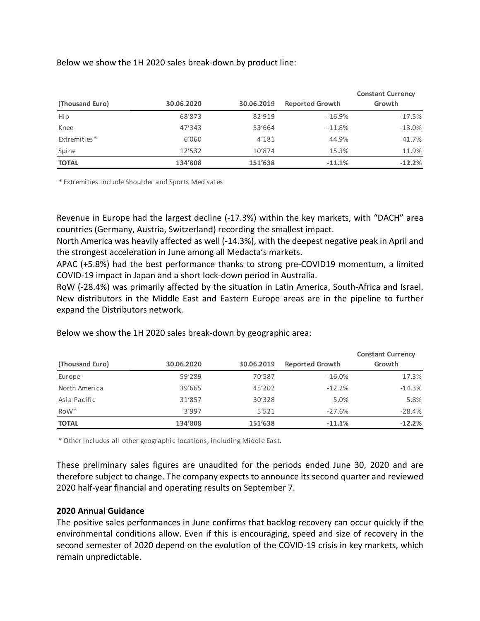# Below we show the 1H 2020 sales break-down by product line:

| (Thousand Euro) | 30.06.2020 | 30.06.2019 | <b>Reported Growth</b> | <b>Constant Currency</b><br>Growth |
|-----------------|------------|------------|------------------------|------------------------------------|
| Hip             | 68'873     | 82'919     | $-16.9%$               | $-17.5%$                           |
| Knee            | 47'343     | 53'664     | $-11.8%$               | $-13.0%$                           |
| Extremities*    | 6'060      | 4'181      | 44.9%                  | 41.7%                              |
| Spine           | 12'532     | 10'874     | 15.3%                  | 11.9%                              |
| <b>TOTAL</b>    | 134'808    | 151'638    | $-11.1%$               | $-12.2%$                           |

\* Extremities include Shoulder and Sports Med sales

Revenue in Europe had the largest decline (-17.3%) within the key markets, with "DACH" area countries (Germany, Austria, Switzerland) recording the smallest impact.

North America was heavily affected as well (-14.3%), with the deepest negative peak in April and the strongest acceleration in June among all Medacta's markets.

APAC (+5.8%) had the best performance thanks to strong pre-COVID19 momentum, a limited COVID-19 impact in Japan and a short lock-down period in Australia.

RoW (-28.4%) was primarily affected by the situation in Latin America, South-Africa and Israel. New distributors in the Middle East and Eastern Europe areas are in the pipeline to further expand the Distributors network.

|                  |            |            |                        | <b>Constant Currency</b> |
|------------------|------------|------------|------------------------|--------------------------|
| (Thousand Euro)  | 30.06.2020 | 30.06.2019 | <b>Reported Growth</b> | Growth                   |
| Europe           | 59'289     | 70'587     | $-16.0\%$              | $-17.3%$                 |
| North America    | 39'665     | 45'202     | $-12.2%$               | $-14.3%$                 |
| Asia Pacific     | 31'857     | 30'328     | 5.0%                   | 5.8%                     |
| RoW <sup>*</sup> | 3'997      | 5'521      | $-27.6%$               | $-28.4%$                 |
| <b>TOTAL</b>     | 134'808    | 151'638    | $-11.1%$               | $-12.2%$                 |

Below we show the 1H 2020 sales break-down by geographic area:

\* Other includes all other geographic locations, including Middle East.

These preliminary sales figures are unaudited for the periods ended June 30, 2020 and are therefore subject to change. The company expects to announce its second quarter and reviewed 2020 half-year financial and operating results on September 7.

## **2020 Annual Guidance**

The positive sales performances in June confirms that backlog recovery can occur quickly if the environmental conditions allow. Even if this is encouraging, speed and size of recovery in the second semester of 2020 depend on the evolution of the COVID-19 crisis in key markets, which remain unpredictable.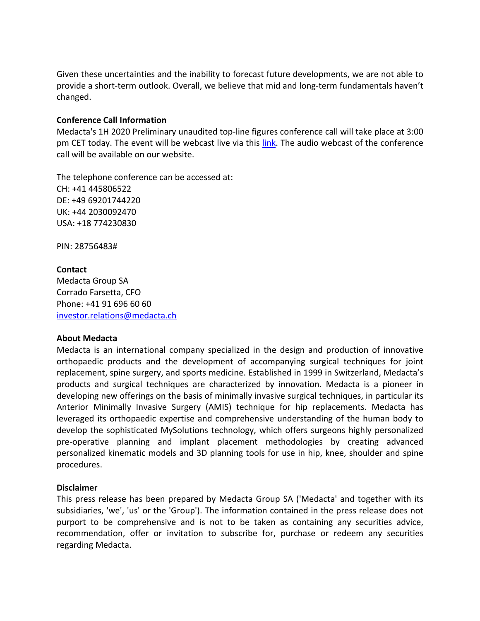Given these uncertainties and the inability to forecast future developments, we are not able to provide a short-term outlook. Overall, we believe that mid and long-term fundamentals haven't changed.

## **Conference Call Information**

Medacta's 1H 2020 Preliminary unaudited top-line figures conference call will take place at 3:00 pm CET today. The event will be webcast live via this link. The audio webcast of the conference call will be available on our website.

The telephone conference can be accessed at: CH: +41 445806522 DE: +49 69201744220 UK: +44 2030092470 USA: +18 774230830

PIN: 28756483#

# **Contact** Medacta Group SA Corrado Farsetta, CFO Phone: +41 91 696 60 60 investor.relations@medacta.ch

## **About Medacta**

Medacta is an international company specialized in the design and production of innovative orthopaedic products and the development of accompanying surgical techniques for joint replacement, spine surgery, and sports medicine. Established in 1999 in Switzerland, Medacta's products and surgical techniques are characterized by innovation. Medacta is a pioneer in developing new offerings on the basis of minimally invasive surgical techniques, in particular its Anterior Minimally Invasive Surgery (AMIS) technique for hip replacements. Medacta has leveraged its orthopaedic expertise and comprehensive understanding of the human body to develop the sophisticated MySolutions technology, which offers surgeons highly personalized pre-operative planning and implant placement methodologies by creating advanced personalized kinematic models and 3D planning tools for use in hip, knee, shoulder and spine procedures.

## **Disclaimer**

This press release has been prepared by Medacta Group SA ('Medacta' and together with its subsidiaries, 'we', 'us' or the 'Group'). The information contained in the press release does not purport to be comprehensive and is not to be taken as containing any securities advice, recommendation, offer or invitation to subscribe for, purchase or redeem any securities regarding Medacta.